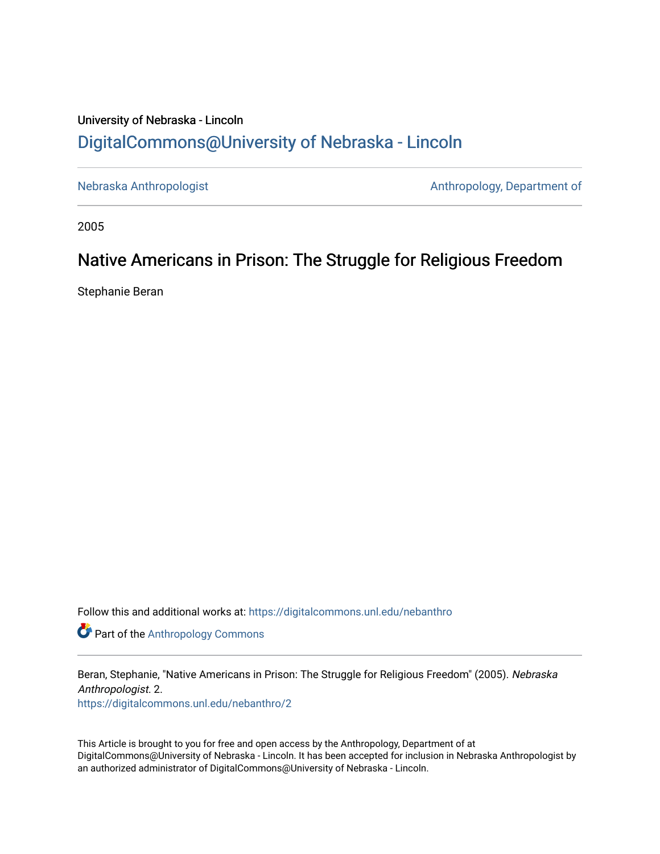## University of Nebraska - Lincoln [DigitalCommons@University of Nebraska - Lincoln](https://digitalcommons.unl.edu/)

[Nebraska Anthropologist](https://digitalcommons.unl.edu/nebanthro) **Antibologist** Anthropology, Department of

2005

# Native Americans in Prison: The Struggle for Religious Freedom

Stephanie Beran

Follow this and additional works at: [https://digitalcommons.unl.edu/nebanthro](https://digitalcommons.unl.edu/nebanthro?utm_source=digitalcommons.unl.edu%2Fnebanthro%2F2&utm_medium=PDF&utm_campaign=PDFCoverPages) 

**Part of the [Anthropology Commons](http://network.bepress.com/hgg/discipline/318?utm_source=digitalcommons.unl.edu%2Fnebanthro%2F2&utm_medium=PDF&utm_campaign=PDFCoverPages)** 

Beran, Stephanie, "Native Americans in Prison: The Struggle for Religious Freedom" (2005). Nebraska Anthropologist. 2.

[https://digitalcommons.unl.edu/nebanthro/2](https://digitalcommons.unl.edu/nebanthro/2?utm_source=digitalcommons.unl.edu%2Fnebanthro%2F2&utm_medium=PDF&utm_campaign=PDFCoverPages) 

This Article is brought to you for free and open access by the Anthropology, Department of at DigitalCommons@University of Nebraska - Lincoln. It has been accepted for inclusion in Nebraska Anthropologist by an authorized administrator of DigitalCommons@University of Nebraska - Lincoln.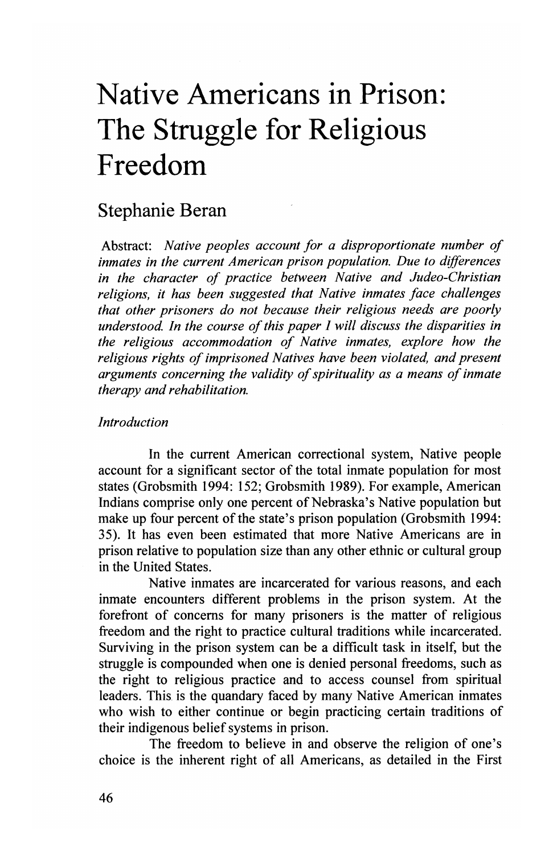# **Native Americans in Prison: The Struggle for Religious Freedom**

## Stephanie Beran

Abstract: *Native peoples account for a disproportionate number of inmates in the current American prison population. Due to differences in the character of practice between Native and Judeo-Christian religions, it has been suggested that Native inmates face challenges that other prisoners do not because their religious needs are poorly understood. In the course of this paper I will discuss the disparities in the religious accommodation of Native inmates, explore how the religious rights of imprisoned Natives have been violated, and present arguments concerning the validity of spirituality as a means of inmate therapy and rehabilitation.* 

#### *Introduction*

In the current American correctional system, Native people account for a significant sector of the total inmate population for most states (Grobsmith 1994: 152; Grobsmith 1989). For example, American Indians comprise only one percent of Nebraska's Native population but make up four percent of the state's prison population (Grobsmith 1994: 35). It has even been estimated that more Native Americans are in prison relative to population size than any other ethnic or cultural group in the United States.

Native inmates are incarcerated for various reasons, and each inmate encounters different problems in the prison system. At the forefront of concerns for many prisoners is the matter of religious freedom and the right to practice cultural traditions while incarcerated. Surviving in the prison system can be a difficult task in itself, but the struggle is compounded when one is denied personal freedoms, such as the right to religious practice and to access counsel from spiritual leaders. This is the quandary faced by many Native American inmates who wish to either continue or begin practicing certain traditions of their indigenous belief systems in prison.

The freedom to believe in and observe the religion of one's choice is the inherent right of all Americans, as detailed in the First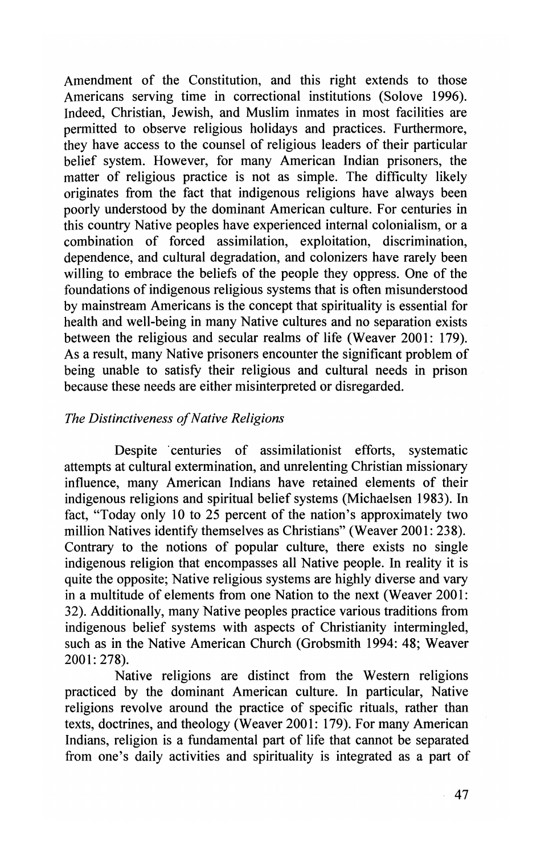Amendment of the Constitution, and this right extends to those Americans serving time in correctional institutions (Solove 1996). Indeed, Christian, Jewish, and Muslim inmates in most facilities are permitted to observe religious holidays and practices. Furthermore, they have access to the counsel of religious leaders of their particular belief system. However, for many American Indian prisoners, the matter of religious practice is not as simple. The difficulty likely originates from the fact that indigenous religions have always been poorly understood by the dominant American culture. For centuries in this country Native peoples have experienced internal colonialism, or a combination of forced assimilation, exploitation, discrimination, dependence, and cultural degradation, and colonizers have rarely been willing to embrace the beliefs of the people they oppress. One of the foundations of indigenous religious systems that is often misunderstood by mainstream Americans is the concept that spirituality is essential for health and well-being in many Native cultures and no separation exists between the religious and secular realms of life (Weaver 2001: 179). As a result, many Native prisoners encounter the significant problem of being unable to satisfy their religious and cultural needs in prison because these needs are either misinterpreted or disregarded.

#### *The Distinctiveness a/Native Religions*

Despite centuries of assimilationist efforts, systematic attempts at cultural extermination, and unrelenting Christian missionary influence, many American Indians have retained elements of their indigenous religions and spiritual belief systems (Michaelsen 1983). **In**  fact, "Today only 10 to 25 percent of the nation's approximately two million Natives identify themselves as Christians" (Weaver 2001: 238). Contrary to the notions of popular culture, there exists no single indigenous religion that encompasses all Native people. **In** reality it is quite the opposite; Native religious systems are highly diverse and vary in a multitude of elements from one Nation to the next (Weaver 2001: 32). Additionally, many Native peoples practice various traditions from indigenous belief systems with aspects of Christianity intermingled, such as in the Native American Church (Grobsmith 1994: 48; Weaver 2001: 278).

Native religions are distinct from the Western religions practiced by the dominant American culture. **In** particular, Native religions revolve around the practice of specific rituals, rather than texts, doctrines, and theology (Weaver 2001: 179). For many American Indians, religion is a fundamental part of life that cannot be separated from one's daily activities and spirituality is integrated as a part of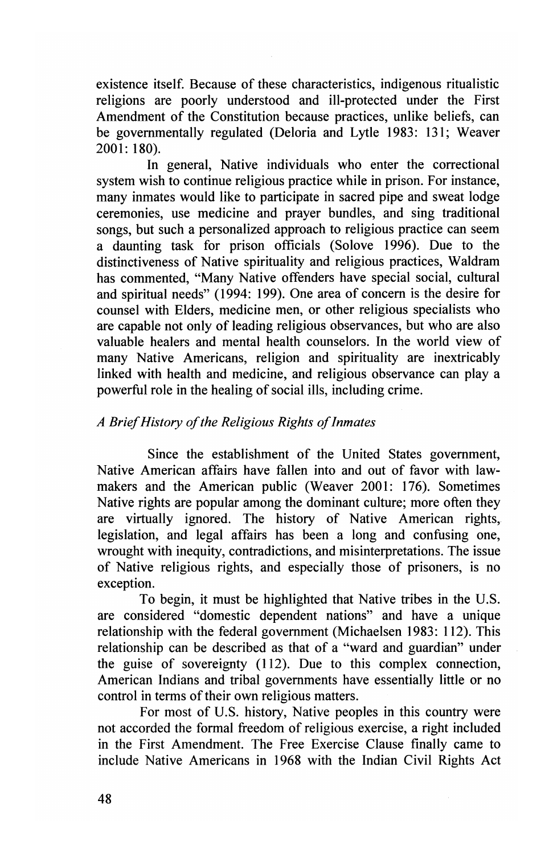existence itself. Because of these characteristics, indigenous ritualistic religions are poorly understood and ill-protected under the First Amendment of the Constitution because practices, unlike beliefs, can be governmentally regulated (Deloria and Lytle 1983: 131; Weaver 2001: 180).

In general, Native individuals who enter the correctional system wish to continue religious practice while in prison. For instance, many inmates would like to participate in sacred pipe and sweat lodge ceremonies, use medicine and prayer bundles, and sing traditional songs, but such a personalized approach to religious practice can seem a daunting task for prison officials (Solove 1996). Due to the distinctiveness of Native spirituality and religious practices, Waldram has commented, "Many Native offenders have special social, cultural and spiritual needs" (1994: 199). One area of concern is the desire for counsel with Elders, medicine men, or other religious specialists who are capable not only of leading religious observances, but who are also valuable healers and mental health counselors. In the world view of many Native Americans, religion and spirituality are inextricably linked with health and medicine, and religious observance can play a powerful role in the healing of social ills, including crime.

#### *A Brief History of the Religious Rights of Inmates*

Since the establishment of the United States government, Native American affairs have fallen into and out of favor with lawmakers and the American public (Weaver 2001: 176). Sometimes Native rights are popular among the dominant culture; more often they are virtually ignored. The history of Native American rights, legislation, and legal affairs has been a long and confusing one, wrought with inequity, contradictions, and misinterpretations. The issue of Native religious rights, and especially those of prisoners, is no exception.

To begin, it must be highlighted that Native tribes in the U.S. are considered "domestic dependent nations" and have a unique relationship with the federal government (Michaelsen 1983: 112). This relationship can be described as that of a "ward and guardian" under the guise of sovereignty (112). Due to this complex connection, American Indians and tribal governments have essentially little or no control in terms of their own religious matters.

For most of U.S. history, Native peoples in this country were not accorded the formal freedom of religious exercise, a right included in the First Amendment. The Free Exercise Clause finally came to include Native Americans in 1968 with the Indian Civil Rights Act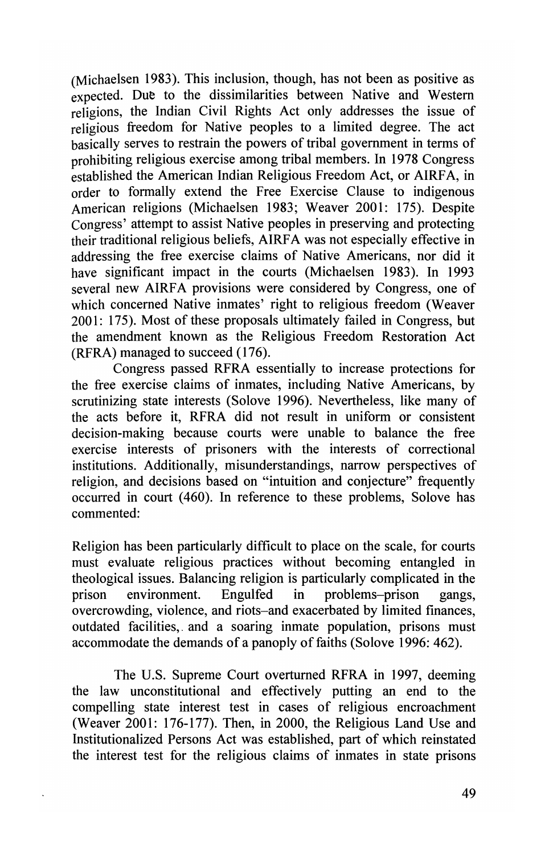(Michaelsen 1983). This inclusion, though, has not been as positive as expected. Due to the dissimilarities between Native and Western religions, the Indian Civil Rights Act only addresses the issue of religious freedom for Native peoples to a limited degree. The act basically serves to restrain the powers of tribal government in terms of prohibiting religious exercise among tribal members. In 1978 Congress established the American Indian Religious Freedom Act, or AIRFA, in order to formally extend the Free Exercise Clause to indigenous American religions (Michaelsen 1983; Weaver 2001: 175). Despite Congress' attempt to assist Native peoples in preserving and protecting their traditional religious beliefs, AIRF A was not especially effective in addressing the free exercise claims of Native Americans, nor did it have significant impact in the courts (Michaelsen 1983). In 1993 several new AIRFA provisions were considered by Congress, one of which concerned Native inmates' right to religious freedom (Weaver 2001: 175). Most of these proposals ultimately failed in Congress, but the amendment known as the Religious Freedom Restoration Act (RFRA) managed to succeed (176).

Congress passed RFRA essentially to increase protections for the free exercise claims of inmates, including Native Americans, by scrutinizing state interests (Solove 1996). Nevertheless, like many of the acts before it, RFRA did not result in uniform or consistent decision-making because courts were unable to balance the free exercise interests of prisoners with the interests of correctional institutions. Additionally, misunderstandings, narrow perspectives of religion, and decisions based on "intuition and conjecture" frequently occurred in court (460). In reference to these problems, Solove has commented:

Religion has been particularly difficult to place on the scale, for courts must evaluate religious practices without becoming entangled in theological issues. Balancing religion is particularly complicated in the prison environment. Engulfed in problems-prison gangs, overcrowding, violence, and riots-and exacerbated by limited finances, outdated facilities,. and a soaring inmate population, prisons must accommodate the demands of a panoply of faiths (Solove 1996: 462).

The U.S. Supreme Court overturned RFRA in 1997, deeming the law unconstitutional and effectively putting an end to the compelling state interest test in cases of religious encroachment (Weaver 2001: 176-177). Then, in 2000, the Religious Land Use and Institutionalized Persons Act was established, part of which reinstated the interest test for the religious claims of inmates in state prisons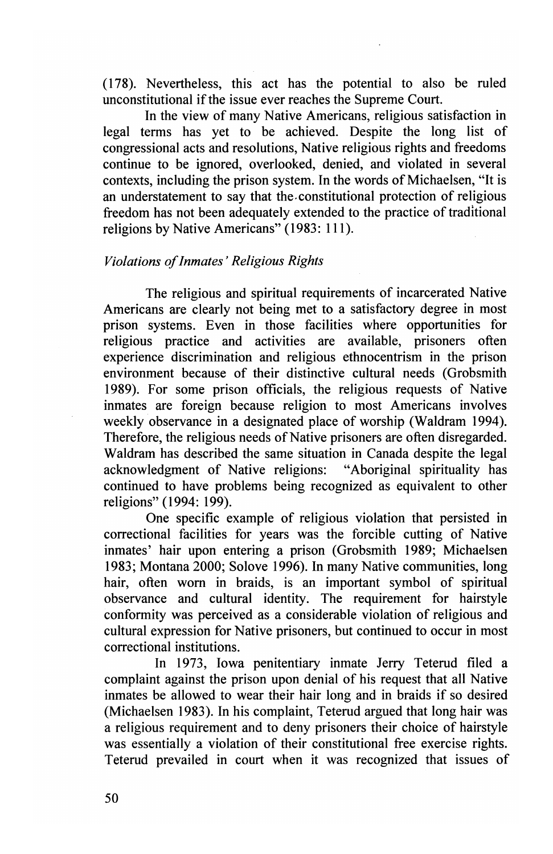(178). Nevertheless, this act has the potential to also be ruled unconstitutional if the issue ever reaches the Supreme Court.

In the view of many Native Americans, religious satisfaction in legal terms has yet to be achieved. Despite the long list of congressional acts and resolutions, Native religious rights and freedoms continue to be ignored, overlooked, denied, and violated in several contexts, including the prison system. In the words of Michaelsen, "It is an understatement to say that the. constitutional protection of religious freedom has not been adequately extended to the practice of traditional religions by Native Americans" (1983: 111).

### *Violations of Inmates' Religious Rights*

The religious and spiritual requirements of incarcerated Native Americans are clearly not being met to a satisfactory degree in most prison systems. Even in those facilities where opportunities for religious practice and activities are available, prisoners often experience discrimination and religious ethnocentrism in the prison environment because of their distinctive cultural needs (Grobsmith 1989). For some prison officials, the religious requests of Native inmates are foreign because religion to most Americans involves weekly observance in a designated place of worship (Waldram 1994). Therefore, the religious needs of Native prisoners are often disregarded. Waldram has described the same situation in Canada despite the legal acknowledgment of Native religions: "Aboriginal spirituality has continued to have problems being recognized as equivalent to other religions" (1994: 199).

One specific example of religious violation that persisted in correctional facilities for years was the forcible cutting of Native inmates' hair upon entering a prison (Grobsmith 1989; Michaelsen 1983; Montana 2000; Solove 1996). In many Native communities, long hair, often worn in braids, is an important symbol of spiritual observance and cultural identity. The requirement for hairstyle conformity was perceived as a considerable violation of religious and cultural expression for Native prisoners, but continued to occur in most correctional institutions.

In 1973, Iowa penitentiary inmate Jerry Teterud filed a complaint against the prison upon denial of his request that all Native inmates be allowed to wear their hair long and in braids if so desired (Michaelsen 1983). In his complaint, Teterud argued that long hair was a religious requirement and to deny prisoners their choice of hairstyle was essentially a violation of their constitutional free exercise rights. Teterud prevailed in court when it was recognized that issues of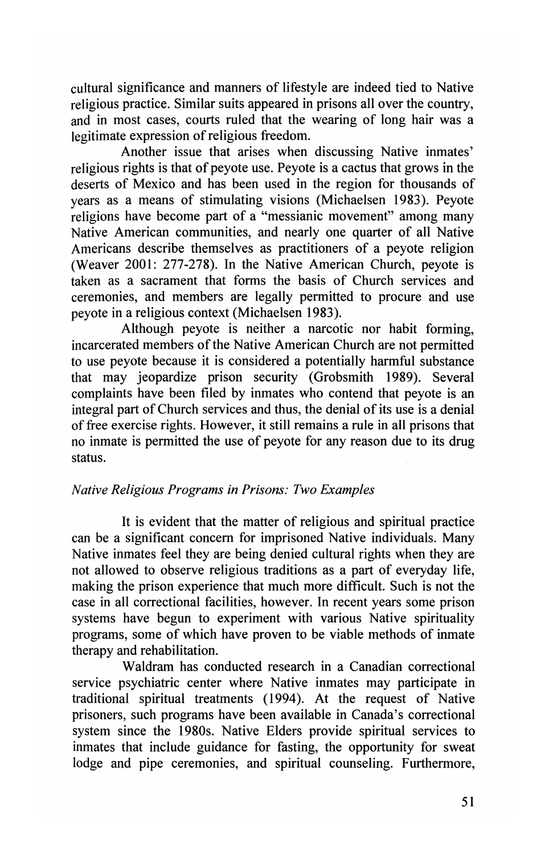cultural significance and manners of lifestyle are indeed tied to Native religious practice. Similar suits appeared in prisons all over the country, and in most cases, courts ruled that the wearing of long hair was a legitimate expression of religious freedom.

Another issue that arises when discussing Native inmates' religious rights is that of peyote use. Peyote is a cactus that grows in the deserts of Mexico and has been used in the region for thousands of years as a means of stimulating visions (Michaelsen 1983). Peyote religions have become part of a "messianic movement" among many Native American communities, and nearly one quarter of all Native Americans describe themselves as practitioners of a peyote religion (Weaver 200]: 277-278). In the Native American Church, peyote is taken as a sacrament that forms the basis of Church services and ceremonies, and members are legally permitted to procure and use peyote in a religious context (Michaelsen 1983).

Although peyote is neither a narcotic nor habit forming, incarcerated members of the Native American Church are not permitted to use peyote because it is considered a potentially harmful substance that may jeopardize prison security (Grobsmith 1989). Several complaints have been filed by inmates who contend that peyote is an integral part of Church services and thus, the denial of its use is a denial of free exercise rights. However, it still remains a rule in all prisons that no inmate is permitted the use of peyote for any reason due to its drug status.

#### *Native Religious Programs in Prisons: Two Examples*

It is evident that the matter of religious and spiritual practice can be a significant concern for imprisoned Native individuals. Many Native inmates feel they are being denied cultural rights when they are not allowed to observe religious traditions as a part of everyday life, making the prison experience that much more difficult. Such is not the case in all correctional facilities, however. In recent years some prison systems have begun to experiment with various Native spirituality programs, some of which have proven to be viable methods of inmate therapy and rehabilitation.

Waldram has conducted research in a Canadian correctional service psychiatric center where Native inmates may participate in traditional spiritual treatments (1994). At the request of Native prisoners, such programs have been available in Canada's correctional system since the 1980s. Native Elders provide spiritual services to inmates that include guidance for fasting, the opportunity for sweat lodge and pipe ceremonies, and spiritual counseling. Furthermore,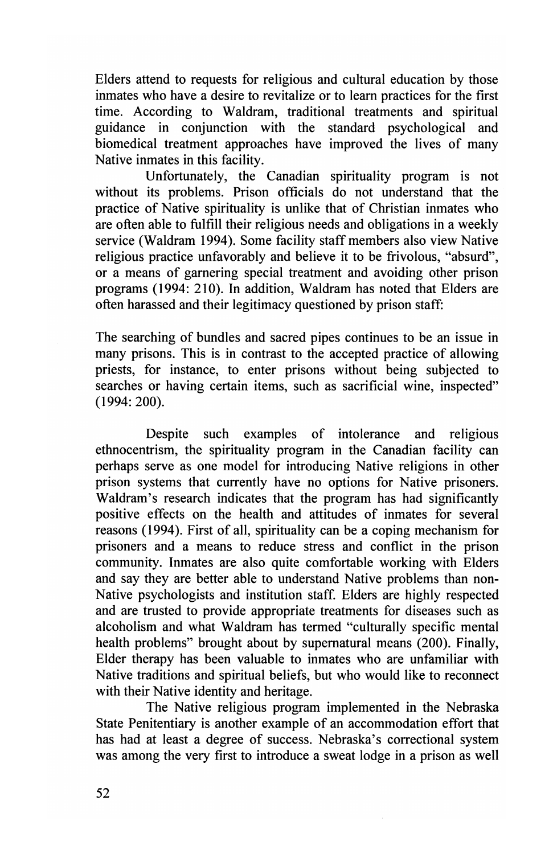Elders attend to requests for religious and cultural education by those inmates who have a desire to revitalize or to learn practices for the first time. According to Waldram, traditional treatments and spiritual guidance in conjunction with the standard psychological and biomedical treatment approaches have improved the lives of many Native inmates in this facility.

Unfortunately, the Canadian spirituality program is not without its problems. Prison officials do not understand that the practice of Native spirituality is unlike that of Christian inmates who are often able to fulfill their religious needs and obligations in a weekly service (Waldram 1994). Some facility staff members also view Native religious practice unfavorably and believe it to be frivolous, "absurd", or a means of garnering special treatment and avoiding other prison programs (1994: 210). In addition, Waldram has noted that Elders are often harassed and their legitimacy questioned by prison staff:

The searching of bundles and sacred pipes continues to be an issue in many prisons. This is in contrast to the accepted practice of allowing priests, for instance, to enter prisons without being subjected to searches or having certain items, such as sacrificial wine, inspected" (1994: 200).

Despite such examples of intolerance and religious ethnocentrism, the spirituality program in the Canadian facility can perhaps serve as one model for introducing Native religions in other prison systems that currently have no options for Native prisoners. Waldram's research indicates that the program has had significantly positive effects on the health and attitudes of inmates for several reasons (1994). First of all, spirituality can be a coping mechanism for prisoners and a means to reduce stress and conflict in the prison community. Inmates are also quite comfortable working with Elders and say they are better able to understand Native problems than non-Native psychologists and institution staff. Elders are highly respected and are trusted to provide appropriate treatments for diseases such as alcoholism and what Waldram has termed "culturally specific mental health problems" brought about by supernatural means (200). Finally, Elder therapy has been valuable to inmates who are unfamiliar with Native traditions and spiritual beliefs, but who would like to reconnect with their Native identity and heritage.

The Native religious program implemented in the Nebraska State Penitentiary is another example of an accommodation effort that has had at least a degree of success. Nebraska's correctional system was among the very first to introduce a sweat lodge in a prison as well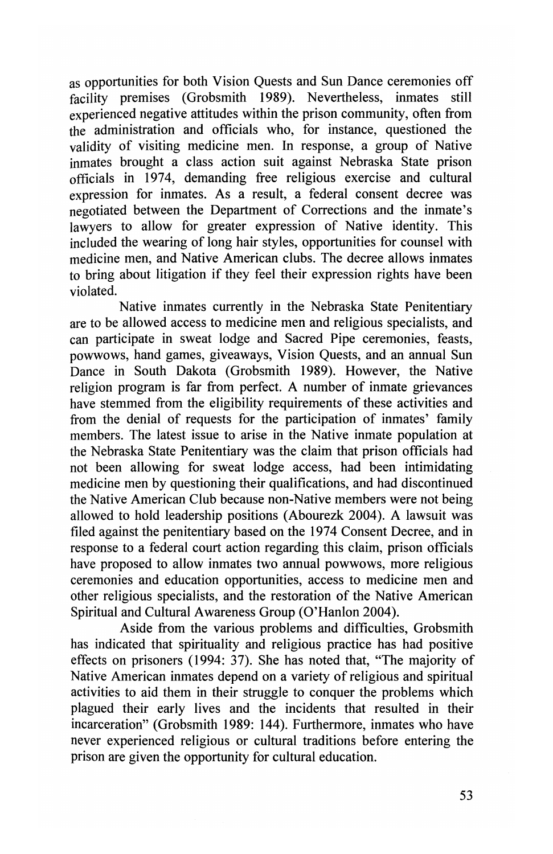as opportunities for both Vision Quests and Sun Dance ceremonies off facility premises (Grobsmith 1989). Nevertheless, inmates still experienced negative attitudes within the prison community, often from the administration and officials who, for instance, questioned the validity of visiting medicine men. **In** response, a group of Native inmates brought a class action suit against Nebraska State prison officials in 1974, demanding free religious exercise and cultural expression for inmates. As a result, a federal consent decree was negotiated between the Department of Corrections and the inmate's lawyers to allow for greater expression of Native identity. This included the wearing of long hair styles, opportunities for counsel with medicine men, and Native American clubs. The decree allows inmates to bring about litigation if they feel their expression rights have been violated.

Native inmates currently in the Nebraska State Penitentiary are to be allowed access to medicine men and religious specialists, and can participate in sweat lodge and Sacred Pipe ceremonies, feasts, powwows, hand games, giveaways, Vision Quests, and an annual Sun Dance in South Dakota (Grobsmith 1989). However, the Native religion program is far from perfect. A number of inmate grievances have stemmed from the eligibility requirements of these activities and from the denial of requests for the participation of inmates' family members. The latest issue to arise in the Native inmate population at the Nebraska State Penitentiary was the claim that prison officials had not been allowing for sweat lodge access, had been intimidating medicine men by questioning their qualifications, and had discontinued the Native American Club because non-Native members were not being allowed to hold leadership positions (Abourezk 2004). A lawsuit was filed against the penitentiary based on the 1974 Consent Decree, and in response to a federal court action regarding this claim, prison officials have proposed to allow inmates two annual powwows, more religious ceremonies and education opportunities, access to medicine men and other religious specialists, and the restoration of the Native American Spiritual and Cultural Awareness Group (O'Hanlon 2004).

Aside from the various problems and difficulties, Grobsmith has indicated that spirituality and religious practice has had positive effects on prisoners (1994: 37). She has noted that, "The majority of Native American inmates depend on a variety of religious and spiritual activities to aid them in their struggle to conquer the problems which plagued their early lives and the incidents that resulted in their incarceration" (Grobsmith 1989: 144). Furthermore, inmates who have never experienced religious or cultural traditions before entering the prison are given the opportunity for cultural education.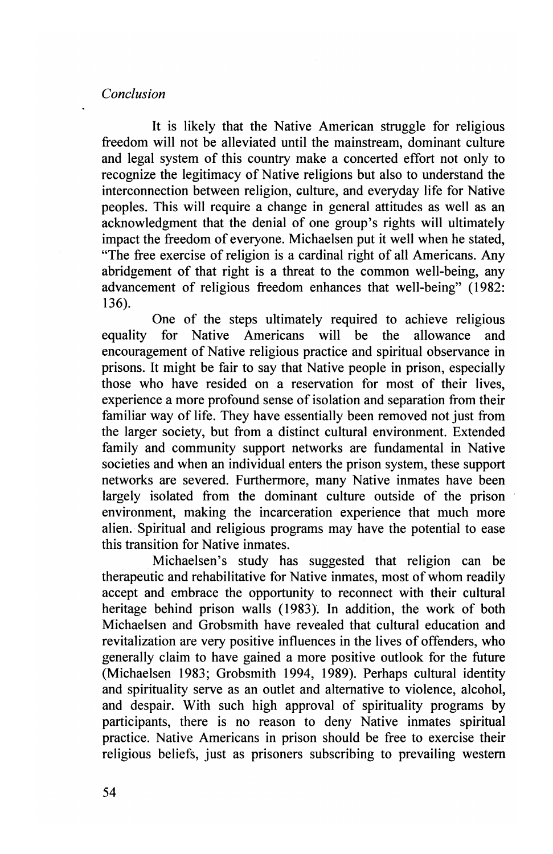*Conclusion* 

It is likely that the Native American struggle for religious freedom will not be alleviated until the mainstream, dominant culture and legal system of this country make a concerted effort not only to recognize the legitimacy of Native religions but also to understand the interconnection between religion, culture, and everyday life for Native peoples. This will require a change in general attitudes as well as an acknowledgment that the denial of one group's rights will ultimately impact the freedom of everyone. Michaelsen put it well when he stated, "The free exercise of religion is a cardinal right of all Americans. Any abridgement of that right is a threat to the common well-being, any advancement of religious freedom enhances that well-being" (1982: 136).

One of the steps ultimately required to achieve religious equality for Native Americans will be the allowance and encouragement of Native religious practice and spiritual observance in prisons. It might be fair to say that Native people in prison, especially those who have resided on a reservation for most of their lives, experience a more profound sense of isolation and separation from their familiar way of life. They have essentially been removed not just from the larger society, but from a distinct cultural environment. Extended family and community support networks are fundamental in Native societies and when an individual enters the prison system, these support networks are severed. Furthermore, many Native inmates have been largely isolated from the dominant culture outside of the prison environment, making the incarceration experience that much more alien. Spiritual and religious programs may have the potential to ease this transition for Native inmates.

Michaelsen's study has suggested that religion can be therapeutic and rehabilitative for Native inmates, most of whom readily accept and embrace the opportunity to reconnect with their cultural heritage behind prison walls (1983). **In** addition, the work of both Michaelsen and Grobsmith have revealed that cultural education and revitalization are very positive influences in the lives of offenders, who generally claim to have gained a more positive outlook for the future (Michaelsen 1983; Grobsmith 1994, 1989). Perhaps cultural identity and spirituality serve as an outlet and alternative to violence, alcohol, and despair. With such high approval of spirituality programs by participants, there is no reason to deny Native inmates spiritual practice. Native Americans in prison should be free to exercise their religious beliefs, just as prisoners subscribing to prevailing western